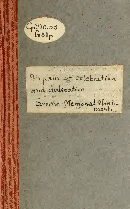G970.33

# Program of celebration Greene Memorial Monu-

"中国的公司"项目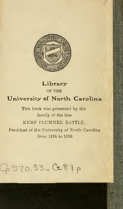

Library OF THE

# University of North Carolina

This book was presented by the farniiy of the late KEMP PLUMMER BATTLE,

President of the University of North Carolina from 1876 to 1890

# $G970.53-G8|p$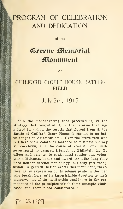# PROGRAM OF CELEBRATION AND DEDICATION

of the

# **Creene Memorial Monument**

At

# GUILFORD COURT HOUSE BATTLE-**FIELD**

## July 3rd, 1915

"In the manoeuvering that preceded it, in the strategy that compelled it, in the heroism that sig nalized it, and in the results that flowed from it, the Battle of Guilford Court House is second to no battle fought on American soil. Over the brave men who fell here their comrades marched to ultimate victory at Yorktown, and the cause of constitutional self government to assured triumph at Philadelphia. To officer and private, to continental soldier and volunteer militiaman, honor and award are alike due; they need neither defence nor eulogy, but only just recognition. A grateful nation erects this monument, therefore, as an expression of its solemn pride in the men who fought here, of its imperishable devotion to their memory, and of its unalterable confidence in the per manence of the principles which their example vindi cated and their blood consecrated."

 $P<sup>12.199</sup>$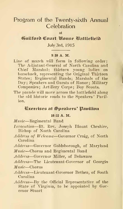# Program of the Twenty-sixth Annual Celebration

at

#### Guilford Court House Battlefield

#### July 3rd, 1915

#### 9:30 A. M.

- Line of march will form in following order: The Adjutant-General of North Carolina and Chief Marshal; thirteen young ladies on horseback, representing the Original Thirteen States; Regimental Bands; Marshals of the Day; Speakers and Guests of Honor; Military Companies; Artillery Corps; Boy Scouts.
- The parade will move across the battlefield along the old historic roads to the Speakers' Pavilion.

#### SxprriBpB at -#peakpra' llauilmn

#### 10:15 A. M.

Music—Regimental Band

- Invocation—Rt. Rev. Joseph Blount Cheshire. Bifhop of North Carolina
- Address of Wclcome-Governor Craig, of North Carolina

Address—Governor Goldsborough, of Maryland Music—Chorus and Regimental Band

Address—Governor Miller, of Delaware

Address-The Lieutenant-Governor of Georgia Music—Chorus

Address—Lieutenant-Governor Bethea, of South Carolina

Address—By the Official Representative of the State of Virginia, to be appointed by Governor Stuart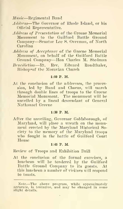#### Music—Eecjimental Band

- Address—The Governor of Rhode Island, or his Official Representative.
- Address of Presentation of the Greene Memorial Monument to the Guilford Battle Ground Company—Senator Lee S. Overman, of North Carolina
- Address of Acceptance of the Greene Memorial Monument, on behalf of the Guilford Battle Ground Company—Hon Charles M. Stedman
- Benediction-Rt. Rev. Edward Rondthaler, Bishop'of the Moravian Church

#### 1:00 P. M.

At the conclusion of the addresses, the procession, led by Band and Chorus, will march through double lines of troops to the Greene Memorial Monument. The monument will be unveiled by a lineal descendant of General Nathanael Greene

#### 1:30 P. M.

After the unveiling, Governor Goldsborough, of Maryland, will place a wreath on the monument erected by the Maryland Historical Society to the memory of the Maryland troops who fought in the battle of Guilford Court **House** 

#### 1:45 P. M.

Eeview of Troops and Exhibition Drill

At the conclusion of the formal exercises, a luncheon will be tendered by the Guilford Battle Ground Company to its guests. At this luncheon a number of visitors will respond to toasts.

Note.—The above program, while approximately accurate, is tentative, and may be changed in some slight details.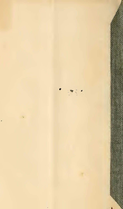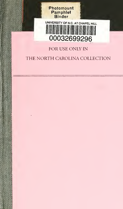Photomount Pamphlet<br>Binder

# UNIVERSITY OF N.C. AT CHAPEL HILL 00032699296

### FOR USE ONLY IN

## THE NORTH CAROLINA COLLECTION